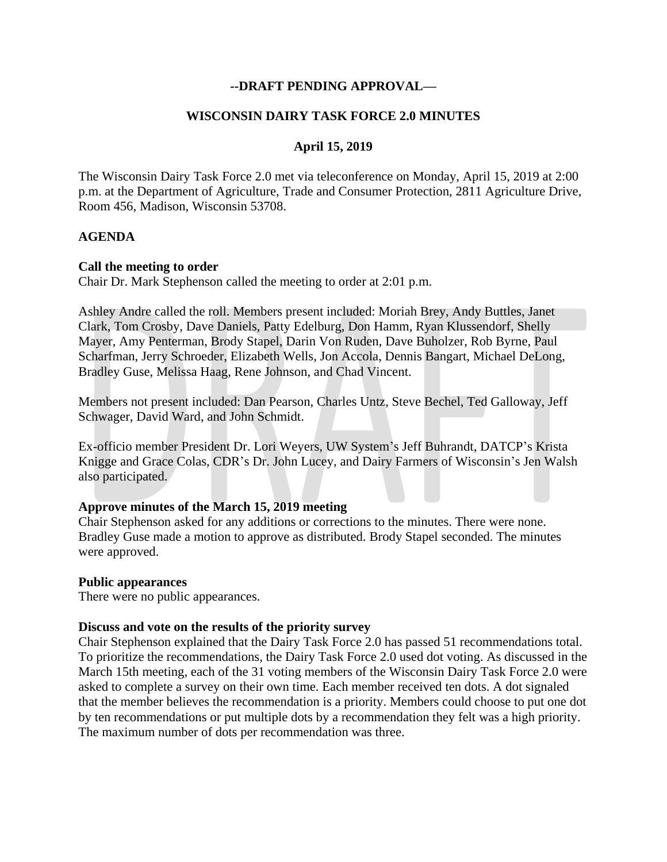# **--DRAFT PENDING APPROVAL—**

### **WISCONSIN DAIRY TASK FORCE 2.0 MINUTES**

# **April 15, 2019**

The Wisconsin Dairy Task Force 2.0 met via teleconference on Monday, April 15, 2019 at 2:00 p.m. at the Department of Agriculture, Trade and Consumer Protection, 2811 Agriculture Drive, Room 456, Madison, Wisconsin 53708.

### **AGENDA**

#### **Call the meeting to order**

Chair Dr. Mark Stephenson called the meeting to order at 2:01 p.m.

Ashley Andre called the roll. Members present included: Moriah Brey, Andy Buttles, Janet Clark, Tom Crosby, Dave Daniels, Patty Edelburg, Don Hamm, Ryan Klussendorf, Shelly Mayer, Amy Penterman, Brody Stapel, Darin Von Ruden, Dave Buholzer, Rob Byrne, Paul Scharfman, Jerry Schroeder, Elizabeth Wells, Jon Accola, Dennis Bangart, Michael DeLong, Bradley Guse, Melissa Haag, Rene Johnson, and Chad Vincent.

Members not present included: Dan Pearson, Charles Untz, Steve Bechel, Ted Galloway, Jeff Schwager, David Ward, and John Schmidt.

Ex-officio member President Dr. Lori Weyers, UW System's Jeff Buhrandt, DATCP's Krista Knigge and Grace Colas, CDR's Dr. John Lucey, and Dairy Farmers of Wisconsin's Jen Walsh also participated.

### **Approve minutes of the March 15, 2019 meeting**

Chair Stephenson asked for any additions or corrections to the minutes. There were none. Bradley Guse made a motion to approve as distributed. Brody Stapel seconded. The minutes were approved.

#### **Public appearances**

There were no public appearances.

#### **Discuss and vote on the results of the priority survey**

Chair Stephenson explained that the Dairy Task Force 2.0 has passed 51 recommendations total. To prioritize the recommendations, the Dairy Task Force 2.0 used dot voting. As discussed in the March 15th meeting, each of the 31 voting members of the Wisconsin Dairy Task Force 2.0 were asked to complete a survey on their own time. Each member received ten dots. A dot signaled that the member believes the recommendation is a priority. Members could choose to put one dot by ten recommendations or put multiple dots by a recommendation they felt was a high priority. The maximum number of dots per recommendation was three.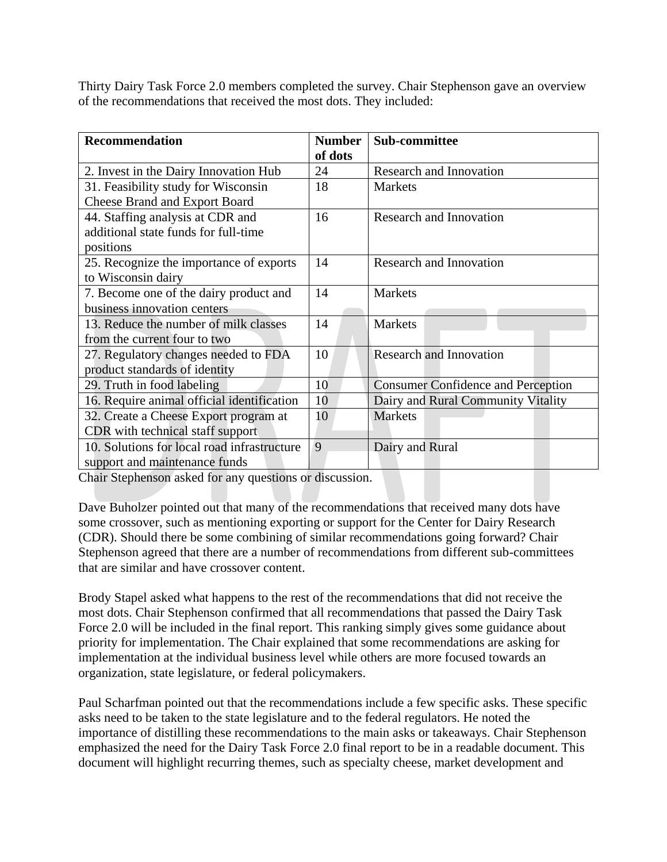Thirty Dairy Task Force 2.0 members completed the survey. Chair Stephenson gave an overview of the recommendations that received the most dots. They included:

| <b>Recommendation</b>                       | <b>Number</b> | <b>Sub-committee</b>                      |
|---------------------------------------------|---------------|-------------------------------------------|
|                                             | of dots       |                                           |
| 2. Invest in the Dairy Innovation Hub       | 24            | <b>Research and Innovation</b>            |
| 31. Feasibility study for Wisconsin         | 18            | <b>Markets</b>                            |
| <b>Cheese Brand and Export Board</b>        |               |                                           |
| 44. Staffing analysis at CDR and            | 16            | <b>Research and Innovation</b>            |
| additional state funds for full-time        |               |                                           |
| positions                                   |               |                                           |
| 25. Recognize the importance of exports     | 14            | <b>Research and Innovation</b>            |
| to Wisconsin dairy                          |               |                                           |
| 7. Become one of the dairy product and      | 14            | <b>Markets</b>                            |
| business innovation centers                 |               |                                           |
| 13. Reduce the number of milk classes       | 14            | <b>Markets</b>                            |
| from the current four to two                |               |                                           |
| 27. Regulatory changes needed to FDA        | 10            | <b>Research and Innovation</b>            |
| product standards of identity               |               |                                           |
| 29. Truth in food labeling                  | 10            | <b>Consumer Confidence and Perception</b> |
| 16. Require animal official identification  | 10            | Dairy and Rural Community Vitality        |
| 32. Create a Cheese Export program at       | 10            | <b>Markets</b>                            |
| CDR with technical staff support            |               |                                           |
| 10. Solutions for local road infrastructure | 9             | Dairy and Rural                           |
| support and maintenance funds               |               |                                           |

Chair Stephenson asked for any questions or discussion.

Dave Buholzer pointed out that many of the recommendations that received many dots have some crossover, such as mentioning exporting or support for the Center for Dairy Research (CDR). Should there be some combining of similar recommendations going forward? Chair Stephenson agreed that there are a number of recommendations from different sub-committees that are similar and have crossover content.

Brody Stapel asked what happens to the rest of the recommendations that did not receive the most dots. Chair Stephenson confirmed that all recommendations that passed the Dairy Task Force 2.0 will be included in the final report. This ranking simply gives some guidance about priority for implementation. The Chair explained that some recommendations are asking for implementation at the individual business level while others are more focused towards an organization, state legislature, or federal policymakers.

Paul Scharfman pointed out that the recommendations include a few specific asks. These specific asks need to be taken to the state legislature and to the federal regulators. He noted the importance of distilling these recommendations to the main asks or takeaways. Chair Stephenson emphasized the need for the Dairy Task Force 2.0 final report to be in a readable document. This document will highlight recurring themes, such as specialty cheese, market development and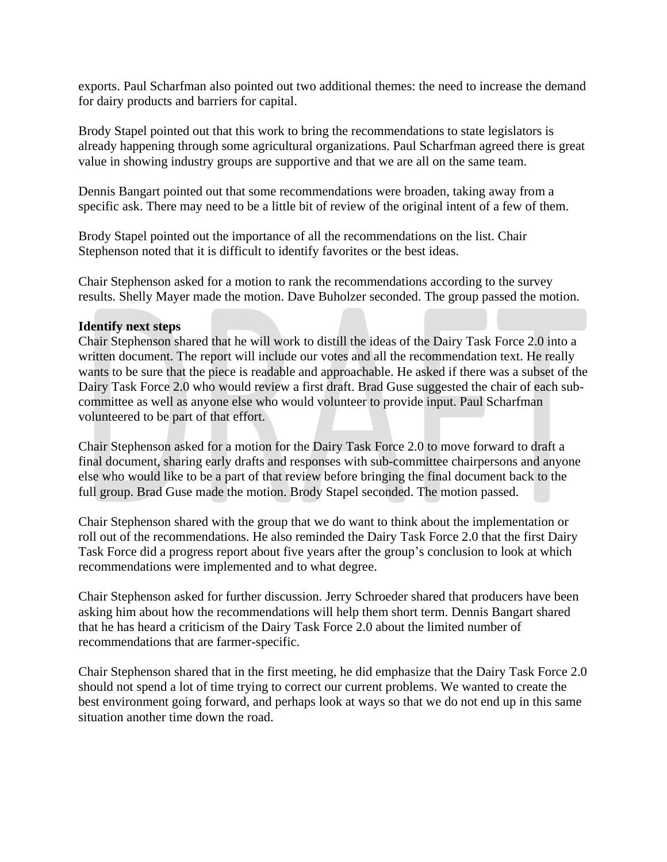exports. Paul Scharfman also pointed out two additional themes: the need to increase the demand for dairy products and barriers for capital.

Brody Stapel pointed out that this work to bring the recommendations to state legislators is already happening through some agricultural organizations. Paul Scharfman agreed there is great value in showing industry groups are supportive and that we are all on the same team.

Dennis Bangart pointed out that some recommendations were broaden, taking away from a specific ask. There may need to be a little bit of review of the original intent of a few of them.

Brody Stapel pointed out the importance of all the recommendations on the list. Chair Stephenson noted that it is difficult to identify favorites or the best ideas.

Chair Stephenson asked for a motion to rank the recommendations according to the survey results. Shelly Mayer made the motion. Dave Buholzer seconded. The group passed the motion.

### **Identify next steps**

Chair Stephenson shared that he will work to distill the ideas of the Dairy Task Force 2.0 into a written document. The report will include our votes and all the recommendation text. He really wants to be sure that the piece is readable and approachable. He asked if there was a subset of the Dairy Task Force 2.0 who would review a first draft. Brad Guse suggested the chair of each subcommittee as well as anyone else who would volunteer to provide input. Paul Scharfman volunteered to be part of that effort.

Chair Stephenson asked for a motion for the Dairy Task Force 2.0 to move forward to draft a final document, sharing early drafts and responses with sub-committee chairpersons and anyone else who would like to be a part of that review before bringing the final document back to the full group. Brad Guse made the motion. Brody Stapel seconded. The motion passed.

Chair Stephenson shared with the group that we do want to think about the implementation or roll out of the recommendations. He also reminded the Dairy Task Force 2.0 that the first Dairy Task Force did a progress report about five years after the group's conclusion to look at which recommendations were implemented and to what degree.

Chair Stephenson asked for further discussion. Jerry Schroeder shared that producers have been asking him about how the recommendations will help them short term. Dennis Bangart shared that he has heard a criticism of the Dairy Task Force 2.0 about the limited number of recommendations that are farmer-specific.

Chair Stephenson shared that in the first meeting, he did emphasize that the Dairy Task Force 2.0 should not spend a lot of time trying to correct our current problems. We wanted to create the best environment going forward, and perhaps look at ways so that we do not end up in this same situation another time down the road.